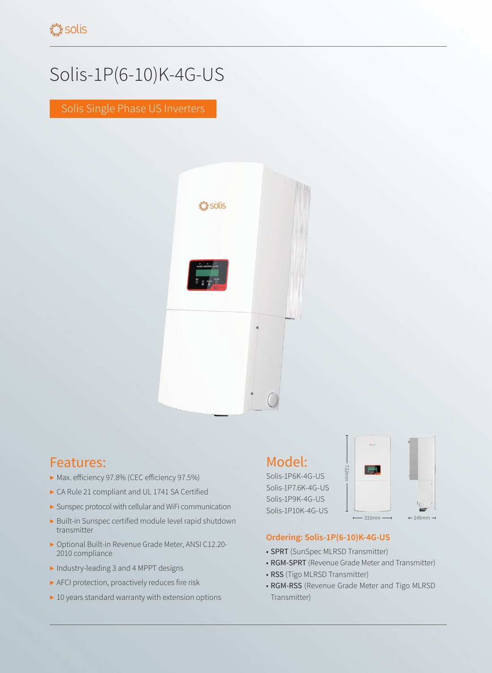# Solis-1P(6-10)K-4G-US

Solis Single Phase US Inverters



### Features:

- ▶ Max. efficiency 97.8% (CEC efficiency 97.5%)
- ▶ CA Rule 21 compliant and UL 1741 SA Certified
- ▶ Sunspec protocol with cellular and WiFi communication
- ▶ Built-in Sunspec certified module level rapid shutdown transmitter
- ▶ Optional Built-in Revenue Grade Meter, ANSI C12.20- 2010 compliance
- ▶ Industry-leading 3 and 4 MPPT designs
- ▶ AFCI protection, proactively reduces fire risk
- ▶ 10 years standard warranty with extension options

#### Model:

Solis-1P6K-4G-US Solis-1P7.6K-4G-US Solis-1P9K-4G-US Solis-1P10K-4G-US



#### **Ordering: Solis-1P(6-10)K-4G-US**

- SPRT (SunSpec MLRSD Transmitter)
- RGM-SPRT (Revenue Grade Meter and Transmitter)
- RSS (Tigo MLRSD Transmitter)
- RGM-RSS (Revenue Grade Meter and Tigo MLRSD Transmitter)